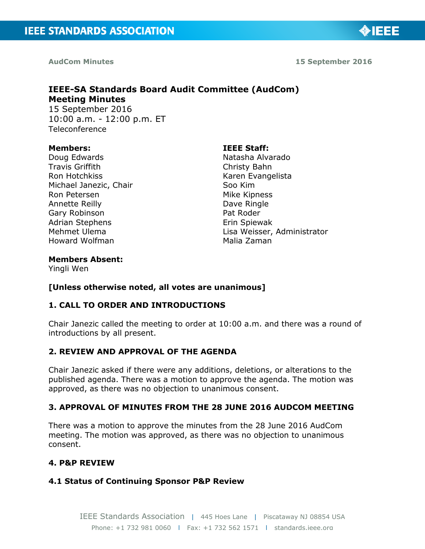

**AudCom Minutes 15 September 2016** 

◈IEEE

# **IEEE-SA Standards Board Audit Committee (AudCom) Meeting Minutes**  15 September 2016 10:00 a.m. - 12:00 p.m. ET

Teleconference

#### **Members:**

Doug Edwards Travis Griffith Ron Hotchkiss Michael Janezic, Chair Ron Petersen Annette Reilly Gary Robinson Adrian Stephens Mehmet Ulema Howard Wolfman

#### **IEEE Staff:**

Natasha Alvarado Christy Bahn Karen Evangelista Soo Kim Mike Kipness Dave Ringle Pat Roder Erin Spiewak Lisa Weisser, Administrator Malia Zaman

### **Members Absent:**

Yingli Wen

## **[Unless otherwise noted, all votes are unanimous]**

## **1. CALL TO ORDER AND INTRODUCTIONS**

Chair Janezic called the meeting to order at 10:00 a.m. and there was a round of introductions by all present.

## **2. REVIEW AND APPROVAL OF THE AGENDA**

Chair Janezic asked if there were any additions, deletions, or alterations to the published agenda. There was a motion to approve the agenda. The motion was approved, as there was no objection to unanimous consent.

## **3. APPROVAL OF MINUTES FROM THE 28 JUNE 2016 AUDCOM MEETING**

There was a motion to approve the minutes from the 28 June 2016 AudCom meeting. The motion was approved, as there was no objection to unanimous consent.

### **4. P&P REVIEW**

### **4.1 Status of Continuing Sponsor P&P Review**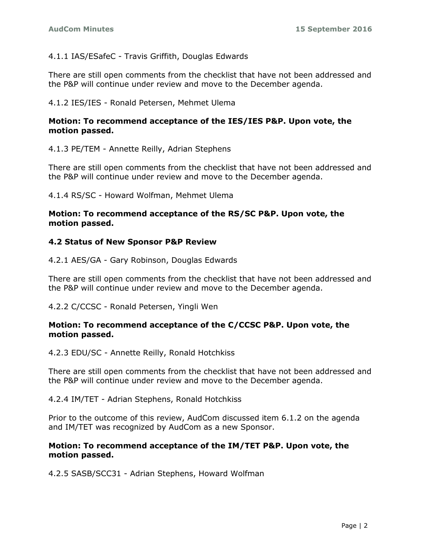## 4.1.1 IAS/ESafeC - Travis Griffith, Douglas Edwards

There are still open comments from the checklist that have not been addressed and the P&P will continue under review and move to the December agenda.

### 4.1.2 IES/IES - Ronald Petersen, Mehmet Ulema

### **Motion: To recommend acceptance of the IES/IES P&P. Upon vote, the motion passed.**

4.1.3 PE/TEM - Annette Reilly, Adrian Stephens

There are still open comments from the checklist that have not been addressed and the P&P will continue under review and move to the December agenda.

4.1.4 RS/SC - Howard Wolfman, Mehmet Ulema

### **Motion: To recommend acceptance of the RS/SC P&P. Upon vote, the motion passed.**

### **4.2 Status of New Sponsor P&P Review**

4.2.1 AES/GA - Gary Robinson, Douglas Edwards

There are still open comments from the checklist that have not been addressed and the P&P will continue under review and move to the December agenda.

4.2.2 C/CCSC - Ronald Petersen, Yingli Wen

### **Motion: To recommend acceptance of the C/CCSC P&P. Upon vote, the motion passed.**

4.2.3 EDU/SC - Annette Reilly, Ronald Hotchkiss

There are still open comments from the checklist that have not been addressed and the P&P will continue under review and move to the December agenda.

4.2.4 IM/TET - Adrian Stephens, Ronald Hotchkiss

Prior to the outcome of this review, AudCom discussed item 6.1.2 on the agenda and IM/TET was recognized by AudCom as a new Sponsor.

### **Motion: To recommend acceptance of the IM/TET P&P. Upon vote, the motion passed.**

4.2.5 SASB/SCC31 - Adrian Stephens, Howard Wolfman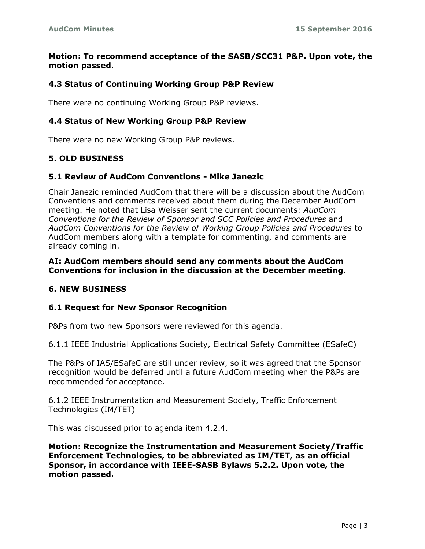### **Motion: To recommend acceptance of the SASB/SCC31 P&P. Upon vote, the motion passed.**

### **4.3 Status of Continuing Working Group P&P Review**

There were no continuing Working Group P&P reviews.

#### **4.4 Status of New Working Group P&P Review**

There were no new Working Group P&P reviews.

### **5. OLD BUSINESS**

#### **5.1 Review of AudCom Conventions - Mike Janezic**

Chair Janezic reminded AudCom that there will be a discussion about the AudCom Conventions and comments received about them during the December AudCom meeting. He noted that Lisa Weisser sent the current documents: *AudCom Conventions for the Review of Sponsor and SCC Policies and Procedures* and *AudCom Conventions for the Review of Working Group Policies and Procedures* to AudCom members along with a template for commenting, and comments are already coming in.

#### **AI: AudCom members should send any comments about the AudCom Conventions for inclusion in the discussion at the December meeting.**

### **6. NEW BUSINESS**

#### **6.1 Request for New Sponsor Recognition**

P&Ps from two new Sponsors were reviewed for this agenda.

6.1.1 IEEE Industrial Applications Society, Electrical Safety Committee (ESafeC)

The P&Ps of IAS/ESafeC are still under review, so it was agreed that the Sponsor recognition would be deferred until a future AudCom meeting when the P&Ps are recommended for acceptance.

6.1.2 IEEE Instrumentation and Measurement Society, Traffic Enforcement Technologies (IM/TET)

This was discussed prior to agenda item 4.2.4.

**Motion: Recognize the Instrumentation and Measurement Society/Traffic Enforcement Technologies, to be abbreviated as IM/TET, as an official Sponsor, in accordance with IEEE-SASB Bylaws 5.2.2. Upon vote, the motion passed.**